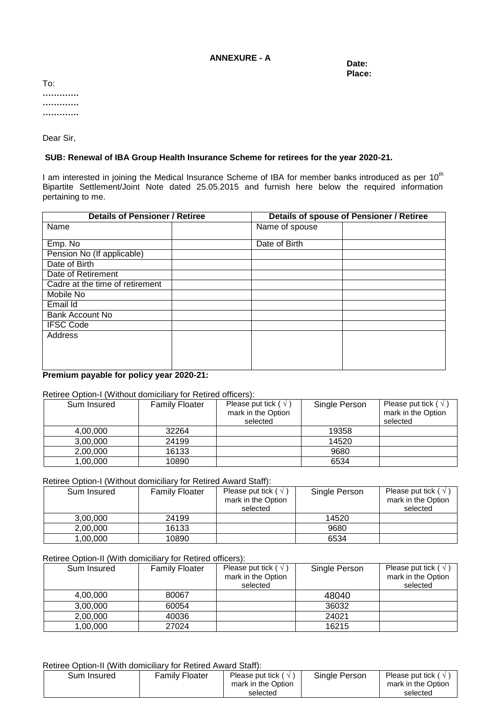### **ANNEXURE - A**

**Date: Place:**

To: **…………. …………. ………….**

Dear Sir,

# **SUB: Renewal of IBA Group Health Insurance Scheme for retirees for the year 2020-21.**

I am interested in joining the Medical Insurance Scheme of IBA for member banks introduced as per 10<sup>th</sup> Bipartite Settlement/Joint Note dated 25.05.2015 and furnish here below the required information pertaining to me.

| <b>Details of Pensioner / Retiree</b> |  | <b>Details of spouse of Pensioner / Retiree</b> |  |  |
|---------------------------------------|--|-------------------------------------------------|--|--|
| Name                                  |  | Name of spouse                                  |  |  |
|                                       |  |                                                 |  |  |
| Emp. No                               |  | Date of Birth                                   |  |  |
| Pension No (If applicable)            |  |                                                 |  |  |
| Date of Birth                         |  |                                                 |  |  |
| Date of Retirement                    |  |                                                 |  |  |
| Cadre at the time of retirement       |  |                                                 |  |  |
| Mobile No                             |  |                                                 |  |  |
| Email Id                              |  |                                                 |  |  |
| <b>Bank Account No</b>                |  |                                                 |  |  |
| <b>IFSC Code</b>                      |  |                                                 |  |  |
| Address                               |  |                                                 |  |  |
|                                       |  |                                                 |  |  |
|                                       |  |                                                 |  |  |
|                                       |  |                                                 |  |  |

# **Premium payable for policy year 2020-21:**

# Retiree Option-I (Without domiciliary for Retired officers):

| Sum Insured | <b>Family Floater</b> | Please put tick ( $\sqrt{ }$ )<br>mark in the Option<br>selected | Single Person | Please put tick ( $\sqrt{ }$ )<br>mark in the Option<br>selected |
|-------------|-----------------------|------------------------------------------------------------------|---------------|------------------------------------------------------------------|
| 4,00,000    | 32264                 |                                                                  | 19358         |                                                                  |
| 3,00,000    | 24199                 |                                                                  | 14520         |                                                                  |
| 2,00,000    | 16133                 |                                                                  | 9680          |                                                                  |
| 1.00.000    | 10890                 |                                                                  | 6534          |                                                                  |

Retiree Option-I (Without domiciliary for Retired Award Staff):

| Sum Insured | <b>Family Floater</b> | Please put tick ( $\sqrt{ }$ )<br>mark in the Option<br>selected | Single Person | Please put tick ( $\sqrt{ }$ )<br>mark in the Option<br>selected |
|-------------|-----------------------|------------------------------------------------------------------|---------------|------------------------------------------------------------------|
| 3.00.000    | 24199                 |                                                                  | 14520         |                                                                  |
| 2.00.000    | 16133                 |                                                                  | 9680          |                                                                  |
| 1.00.000    | 10890                 |                                                                  | 6534          |                                                                  |

### Retiree Option-II (With domiciliary for Retired officers):

| Sum Insured | <b>Family Floater</b> | Please put tick ( $\sqrt{ }$ )<br>mark in the Option<br>selected | Single Person | Please put tick ( $\sqrt{ }$ )<br>mark in the Option<br>selected |
|-------------|-----------------------|------------------------------------------------------------------|---------------|------------------------------------------------------------------|
| 4,00,000    | 80067                 |                                                                  | 48040         |                                                                  |
| 3,00,000    | 60054                 |                                                                  | 36032         |                                                                  |
| 2,00,000    | 40036                 |                                                                  | 24021         |                                                                  |
| 1,00,000    | 27024                 |                                                                  | 16215         |                                                                  |

### Retiree Option-II (With domiciliary for Retired Award Staff):

| Sum Insured | <b>Family Floater</b> | Please put tick ( $\sqrt{ }$ )<br>mark in the Option<br>selected | Single Person | Please put tick ( $\sqrt{ }$<br>mark in the Option<br>selected |
|-------------|-----------------------|------------------------------------------------------------------|---------------|----------------------------------------------------------------|
|-------------|-----------------------|------------------------------------------------------------------|---------------|----------------------------------------------------------------|